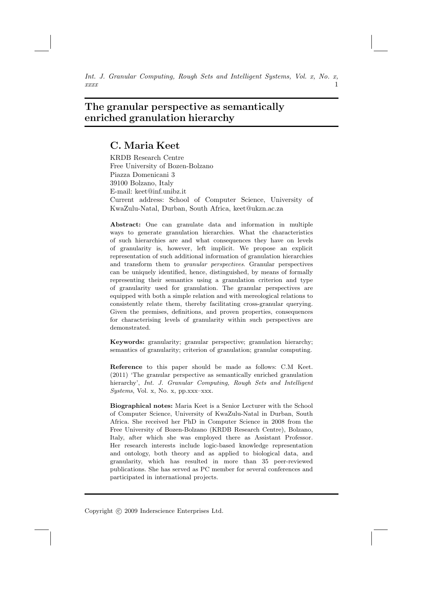Int. J. Granular Computing, Rough Sets and Intelligent Systems, Vol. x, No. x,  $xxxx$  1

# The granular perspective as semantically enriched granulation hierarchy

# C. Maria Keet

KRDB Research Centre Free University of Bozen-Bolzano Piazza Domenicani 3 39100 Bolzano, Italy E-mail: keet@inf.unibz.it Current address: School of Computer Science, University of KwaZulu-Natal, Durban, South Africa, keet@ukzn.ac.za

Abstract: One can granulate data and information in multiple ways to generate granulation hierarchies. What the characteristics of such hierarchies are and what consequences they have on levels of granularity is, however, left implicit. We propose an explicit representation of such additional information of granulation hierarchies and transform them to granular perspectives. Granular perspectives can be uniquely identified, hence, distinguished, by means of formally representing their semantics using a granulation criterion and type of granularity used for granulation. The granular perspectives are equipped with both a simple relation and with mereological relations to consistently relate them, thereby facilitating cross-granular querying. Given the premises, definitions, and proven properties, consequences for characterising levels of granularity within such perspectives are demonstrated.

Keywords: granularity; granular perspective; granulation hierarchy; semantics of granularity; criterion of granulation; granular computing.

Reference to this paper should be made as follows: C.M Keet. (2011) 'The granular perspective as semantically enriched granulation hierarchy', Int. J. Granular Computing, Rough Sets and Intelligent Systems, Vol. x, No. x, pp.xxx–xxx.

Biographical notes: Maria Keet is a Senior Lecturer with the School of Computer Science, University of KwaZulu-Natal in Durban, South Africa. She received her PhD in Computer Science in 2008 from the Free University of Bozen-Bolzano (KRDB Research Centre), Bolzano, Italy, after which she was employed there as Assistant Professor. Her research interests include logic-based knowledge representation and ontology, both theory and as applied to biological data, and granularity, which has resulted in more than 35 peer-reviewed publications. She has served as PC member for several conferences and participated in international projects.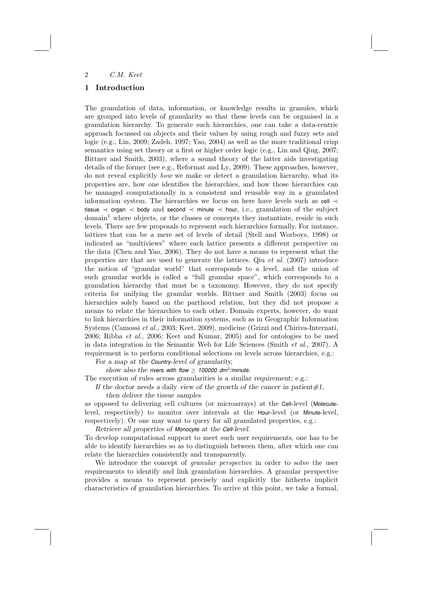# 1 Introduction

The granulation of data, information, or knowledge results in granules, which are grouped into levels of granularity so that these levels can be organised in a granulation hierarchy. To generate such hierarchies, one can take a data-centric approach focussed on objects and their values by using rough and fuzzy sets and logic (e.g., Lin, 2009; Zadeh, 1997; Yao, 2004) as well as the more traditional crisp semantics using set theory or a first or higher order logic (e.g., Lin and Qing, 2007; Bittner and Smith, 2003), where a sound theory of the latter aids investigating details of the former (see e.g., Reformat and Ly, 2009). These approaches, however, do not reveal explicitly how we make or detect a granulation hierarchy, what its properties are, how one identifies the hierarchies, and how those hierarchies can be managed computationally in a consistent and reusable way in a granulated information system. The hierarchies we focus on here have levels such as cell ≺ tissue  $\prec$  organ  $\prec$  body and second  $\prec$  minute  $\prec$  hour, i.e., granulation of the subject domain<sup>1</sup> where objects, or the classes or concepts they instantiate, reside in such levels. There are few proposals to represent such hierarchies formally. For instance, lattices that can be a mere set of levels of detail (Stell and Worboys, 1998) or indicated as "multiviews" where each lattice presents a different perspective on the data (Chen and Yao, 2006). They do not have a means to represent what the properties are that are used to generate the lattices. Qiu et al.  $(2007)$  introduce the notion of "granular world" that corresponds to a level, and the union of such granular worlds is called a "full granular space", which corresponds to a granulation hierarchy that must be a taxonomy. However, they do not specify criteria for unifying the granular worlds. Bittner and Smith (2003) focus on hierarchies solely based on the parthood relation, but they did not propose a means to relate the hierarchies to each other. Domain experts, however, do want to link hierarchies in their information systems, such as in Geographic Information Systems (Camossi et al., 2003; Keet, 2009), medicine (Grizzi and Chiriva-Internati, 2006; Ribba et al., 2006; Keet and Kumar, 2005) and for ontologies to be used in data integration in the Semantic Web for Life Sciences (Smith et al., 2007). A requirement is to perform conditional selections on levels across hierarchies, e.g.:

For a map at the *Country*-level of granularity,

show also the rivers with flow  $\geq$  100000 dm<sup>3</sup>/minute.

The execution of rules across granularities is a similar requirement; e.g.:

If the doctor needs a daily view of the growth of the cancer in patient  $\#1$ ,

then deliver the tissue samples

as opposed to delivering cell cultures (or microarrays) at the Cell-level (Moleculelevel, respectively) to monitor over intervals at the Hour-level (or Minute-level, respectively). Or one may want to query for all granulated properties, e.g.:

Retrieve all properties of *Monocyte* at the *Cell*-level.

To develop computational support to meet such user requirements, one has to be able to identify hierarchies so as to distinguish between them, after which one can relate the hierarchies consistently and transparently.

We introduce the concept of *granular perspective* in order to solve the user requirements to identify and link granulation hierarchies. A granular perspective provides a means to represent precisely and explicitly the hitherto implicit characteristics of granulation hierarchies. To arrive at this point, we take a formal,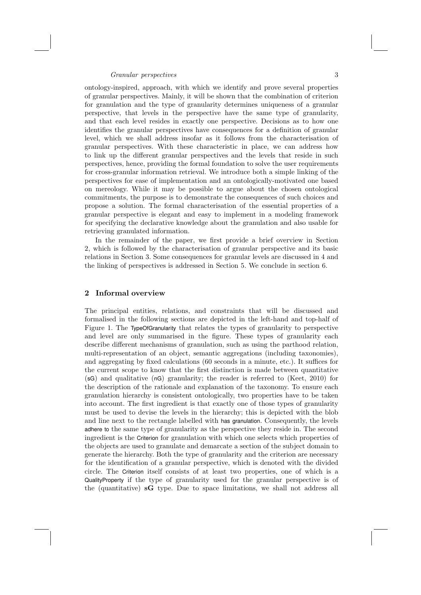ontology-inspired, approach, with which we identify and prove several properties of granular perspectives. Mainly, it will be shown that the combination of criterion for granulation and the type of granularity determines uniqueness of a granular perspective, that levels in the perspective have the same type of granularity, and that each level resides in exactly one perspective. Decisions as to how one identifies the granular perspectives have consequences for a definition of granular level, which we shall address insofar as it follows from the characterisation of granular perspectives. With these characteristic in place, we can address how to link up the different granular perspectives and the levels that reside in such perspectives, hence, providing the formal foundation to solve the user requirements for cross-granular information retrieval. We introduce both a simple linking of the perspectives for ease of implementation and an ontologically-motivated one based on mereology. While it may be possible to argue about the chosen ontological commitments, the purpose is to demonstrate the consequences of such choices and propose a solution. The formal characterisation of the essential properties of a granular perspective is elegant and easy to implement in a modeling framework for specifying the declarative knowledge about the granulation and also usable for retrieving granulated information.

In the remainder of the paper, we first provide a brief overview in Section 2, which is followed by the characterisation of granular perspective and its basic relations in Section 3. Some consequences for granular levels are discussed in 4 and the linking of perspectives is addressed in Section 5. We conclude in section 6.

## 2 Informal overview

The principal entities, relations, and constraints that will be discussed and formalised in the following sections are depicted in the left-hand and top-half of Figure 1. The TypeOfGranularity that relates the types of granularity to perspective and level are only summarised in the figure. These types of granularity each describe different mechanisms of granulation, such as using the parthood relation, multi-representation of an object, semantic aggregations (including taxonomies), and aggregating by fixed calculations (60 seconds in a minute, etc.). It suffices for the current scope to know that the first distinction is made between quantitative (sG) and qualitative (nG) granularity; the reader is referred to (Keet, 2010) for the description of the rationale and explanation of the taxonomy. To ensure each granulation hierarchy is consistent ontologically, two properties have to be taken into account. The first ingredient is that exactly one of those types of granularity must be used to devise the levels in the hierarchy; this is depicted with the blob and line next to the rectangle labelled with has granulation. Consequently, the levels adhere to the same type of granularity as the perspective they reside in. The second ingredient is the Criterion for granulation with which one selects which properties of the objects are used to granulate and demarcate a section of the subject domain to generate the hierarchy. Both the type of granularity and the criterion are necessary for the identification of a granular perspective, which is denoted with the divided circle. The Criterion itself consists of at least two properties, one of which is a QualityProperty if the type of granularity used for the granular perspective is of the (quantitative) sG type. Due to space limitations, we shall not address all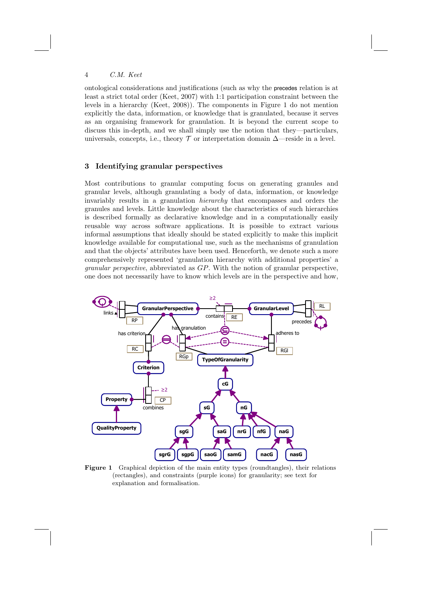ontological considerations and justifications (such as why the precedes relation is at least a strict total order (Keet, 2007) with 1:1 participation constraint between the levels in a hierarchy (Keet, 2008)). The components in Figure 1 do not mention explicitly the data, information, or knowledge that is granulated, because it serves as an organising framework for granulation. It is beyond the current scope to discuss this in-depth, and we shall simply use the notion that they—particulars, universals, concepts, i.e., theory  $\mathcal T$  or interpretation domain  $\Delta$ —reside in a level.

# 3 Identifying granular perspectives

Most contributions to granular computing focus on generating granules and granular levels, although granulating a body of data, information, or knowledge invariably results in a granulation *hierarchy* that encompasses and orders the granules and levels. Little knowledge about the characteristics of such hierarchies is described formally as declarative knowledge and in a computationally easily reusable way across software applications. It is possible to extract various informal assumptions that ideally should be stated explicitly to make this implicit knowledge available for computational use, such as the mechanisms of granulation and that the objects' attributes have been used. Henceforth, we denote such a more comprehensively represented 'granulation hierarchy with additional properties' a granular perspective, abbreviated as GP. With the notion of granular perspective, one does not necessarily have to know which levels are in the perspective and how,



Figure 1 Graphical depiction of the main entity types (roundtangles), their relations (rectangles), and constraints (purple icons) for granularity; see text for explanation and formalisation.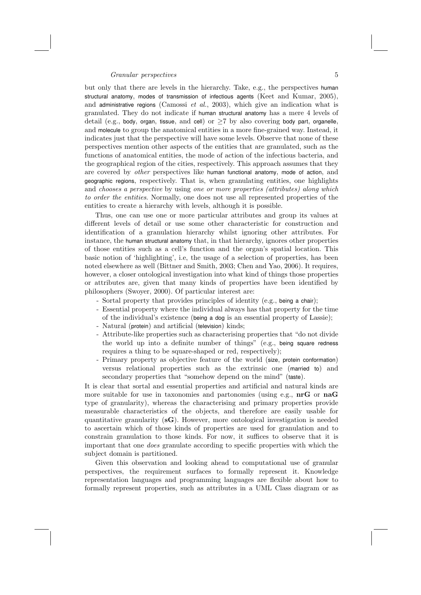but only that there are levels in the hierarchy. Take, e.g., the perspectives human structural anatomy, modes of transmission of infectious agents (Keet and Kumar, 2005), and administrative regions (Camossi *et al.*, 2003), which give an indication what is granulated. They do not indicate if human structural anatomy has a mere 4 levels of detail (e.g., body, organ, tissue, and cell) or  $\geq 7$  by also covering body part, organelle, and molecule to group the anatomical entities in a more fine-grained way. Instead, it indicates just that the perspective will have some levels. Observe that none of these perspectives mention other aspects of the entities that are granulated, such as the functions of anatomical entities, the mode of action of the infectious bacteria, and the geographical region of the cities, respectively. This approach assumes that they are covered by *other* perspectives like human functional anatomy, mode of action, and geographic regions, respectively. That is, when granulating entities, one highlights and chooses a perspective by using one or more properties (attributes) along which to order the entities. Normally, one does not use all represented properties of the entities to create a hierarchy with levels, although it is possible.

Thus, one can use one or more particular attributes and group its values at different levels of detail or use some other characteristic for construction and identification of a granulation hierarchy whilst ignoring other attributes. For instance, the human structural anatomy that, in that hierarchy, ignores other properties of those entities such as a cell's function and the organ's spatial location. This basic notion of 'highlighting', i.e, the usage of a selection of properties, has been noted elsewhere as well (Bittner and Smith, 2003; Chen and Yao, 2006). It requires, however, a closer ontological investigation into what kind of things those properties or attributes are, given that many kinds of properties have been identified by philosophers (Swoyer, 2000). Of particular interest are:

- Sortal property that provides principles of identity (e.g., being a chair);
- Essential property where the individual always has that property for the time of the individual's existence (being a dog is an essential property of Lassie);
- Natural (protein) and artificial (television) kinds;
- Attribute-like properties such as characterising properties that "do not divide the world up into a definite number of things" (e.g., being square redness requires a thing to be square-shaped or red, respectively);
- Primary property as objective feature of the world (size, protein conformation) versus relational properties such as the extrinsic one (married to) and secondary properties that "somehow depend on the mind" (taste).

It is clear that sortal and essential properties and artificial and natural kinds are more suitable for use in taxonomies and partonomies (using e.g.,  $\mathbf{n}\mathbf{G}$  or  $\mathbf{n}\mathbf{a}\mathbf{G}$ type of granularity), whereas the characterising and primary properties provide measurable characteristics of the objects, and therefore are easily usable for quantitative granularity  $(\mathbf{s}\mathbf{G})$ . However, more ontological investigation is needed to ascertain which of those kinds of properties are used for granulation and to constrain granulation to those kinds. For now, it suffices to observe that it is important that one does granulate according to specific properties with which the subject domain is partitioned.

Given this observation and looking ahead to computational use of granular perspectives, the requirement surfaces to formally represent it. Knowledge representation languages and programming languages are flexible about how to formally represent properties, such as attributes in a UML Class diagram or as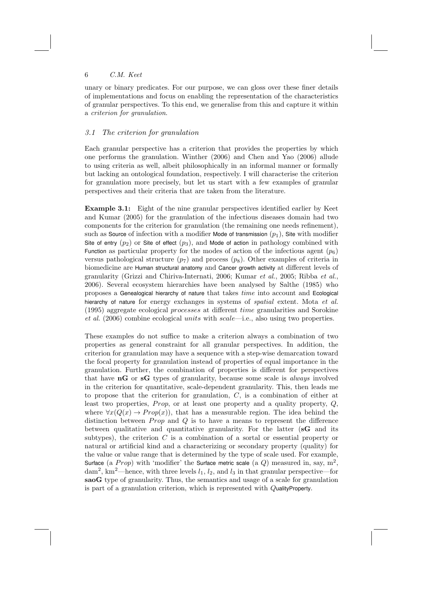unary or binary predicates. For our purpose, we can gloss over these finer details of implementations and focus on enabling the representation of the characteristics of granular perspectives. To this end, we generalise from this and capture it within a criterion for granulation.

# 3.1 The criterion for granulation

Each granular perspective has a criterion that provides the properties by which one performs the granulation. Winther (2006) and Chen and Yao (2006) allude to using criteria as well, albeit philosophically in an informal manner or formally but lacking an ontological foundation, respectively. I will characterise the criterion for granulation more precisely, but let us start with a few examples of granular perspectives and their criteria that are taken from the literature.

Example 3.1: Eight of the nine granular perspectives identified earlier by Keet and Kumar (2005) for the granulation of the infectious diseases domain had two components for the criterion for granulation (the remaining one needs refinement), such as Source of infection with a modifier Mode of transmission  $(p_1)$ , Site with modifier Site of entry  $(p_2)$  or Site of effect  $(p_3)$ , and Mode of action in pathology combined with Function as particular property for the modes of action of the infectious agent  $(p_6)$ versus pathological structure  $(p_7)$  and process  $(p_8)$ . Other examples of criteria in biomedicine are Human structural anatomy and Cancer growth activity at different levels of granularity (Grizzi and Chiriva-Internati, 2006; Kumar et al., 2005; Ribba et al., 2006). Several ecosystem hierarchies have been analysed by Salthe (1985) who proposes a Genealogical hierarchy of nature that takes time into account and Ecological hierarchy of nature for energy exchanges in systems of *spatial* extent. Mota et al. (1995) aggregate ecological processes at different time granularities and Sorokine et al.  $(2006)$  combine ecological units with scale—i.e., also using two properties.

These examples do not suffice to make a criterion always a combination of two properties as general constraint for all granular perspectives. In addition, the criterion for granulation may have a sequence with a step-wise demarcation toward the focal property for granulation instead of properties of equal importance in the granulation. Further, the combination of properties is different for perspectives that have nG or sG types of granularity, because some scale is always involved in the criterion for quantitative, scale-dependent granularity. This, then leads me to propose that the criterion for granulation,  $C$ , is a combination of either at least two properties, *Prop*, or at least one property and a quality property,  $Q$ , where  $\forall x(Q(x) \rightarrow Prop(x))$ , that has a measurable region. The idea behind the distinction between *Prop* and  $Q$  is to have a means to represent the difference between qualitative and quantitative granularity. For the latter (sG and its subtypes), the criterion  $C$  is a combination of a sortal or essential property or natural or artificial kind and a characterizing or secondary property (quality) for the value or value range that is determined by the type of scale used. For example, Surface (a  $Prop$ ) with 'modifier' the Surface metric scale (a  $Q$ ) measured in, say, m<sup>2</sup>, dam<sup>2</sup>, km<sup>2</sup>—hence, with three levels  $l_1$ ,  $l_2$ , and  $l_3$  in that granular perspective—for saoG type of granularity. Thus, the semantics and usage of a scale for granulation is part of a granulation criterion, which is represented with QualityProperty.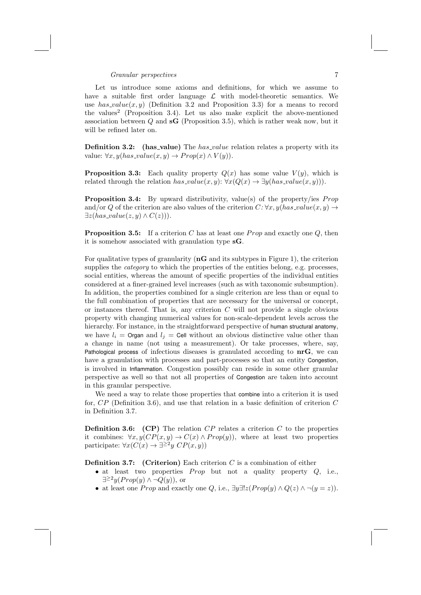Let us introduce some axioms and definitions, for which we assume to have a suitable first order language  $\mathcal L$  with model-theoretic semantics. We use  $has_value(x, y)$  (Definition 3.2 and Proposition 3.3) for a means to record the values<sup>2</sup> (Proposition 3.4). Let us also make explicit the above-mentioned association between  $Q$  and  $\mathbf{SG}$  (Proposition 3.5), which is rather weak now, but it will be refined later on.

**Definition 3.2:** (has\_value) The has\_value relation relates a property with its value:  $\forall x, y(has\_value(x, y) \rightarrow Prop(x) \land V(y)).$ 

**Proposition 3.3:** Each quality property  $Q(x)$  has some value  $V(y)$ , which is related through the relation  $has\_value(x, y)$ :  $\forall x (Q(x) \rightarrow \exists y (has\_value(x, y))$ .

**Proposition 3.4:** By upward distributivity, value(s) of the property/ies  $Prop$ and/or Q of the criterion are also values of the criterion  $C: \forall x, y(has\_value(x, y) \rightarrow$  $\exists z(has\_value(z, y) \wedge C(z))$ .

**Proposition 3.5:** If a criterion C has at least one *Prop* and exactly one  $Q$ , then it is somehow associated with granulation type sG.

For qualitative types of granularity  $(nG \text{ and its subtypes in Figure 1}),$  the criterion supplies the *category* to which the properties of the entities belong, e.g. processes, social entities, whereas the amount of specific properties of the individual entities considered at a finer-grained level increases (such as with taxonomic subsumption). In addition, the properties combined for a single criterion are less than or equal to the full combination of properties that are necessary for the universal or concept, or instances thereof. That is, any criterion  $C$  will not provide a single obvious property with changing numerical values for non-scale-dependent levels across the hierarchy. For instance, in the straightforward perspective of human structural anatomy, we have  $l_i = \text{Organ and } l_j = \text{Cell without an obvious distinctive value other than}$ a change in name (not using a measurement). Or take processes, where, say, Pathological process of infectious diseases is granulated according to nrG, we can have a granulation with processes and part-processes so that an entity Congestion, is involved in Inflammation. Congestion possibly can reside in some other granular perspective as well so that not all properties of Congestion are taken into account in this granular perspective.

We need a way to relate those properties that combine into a criterion it is used for, CP (Definition 3.6), and use that relation in a basic definition of criterion C in Definition 3.7.

**Definition 3.6:** (CP) The relation  $\overline{CP}$  relates a criterion  $\overline{C}$  to the properties it combines:  $\forall x, y(CP(x, y) \rightarrow C(x) \land Prop(y)),$  where at least two properties participate:  $\forall x (C(x) \rightarrow \exists^{\geq 2} y \; CP(x,y))$ 

**Definition 3.7:** (Criterion) Each criterion  $C$  is a combination of either

- at least two properties  $Prop$  but not a quality property  $Q$ , i.e.,  $\exists^{\geq 2} y (Prop(y) \wedge \neg Q(y)),$  or
- at least one Prop and exactly one Q, i.e.,  $\exists y \exists! z (Prop(y) \land Q(z) \land \neg (y = z)).$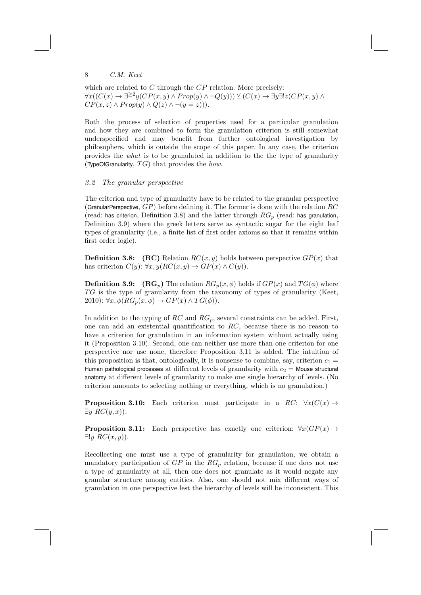which are related to  $C$  through the  $CP$  relation. More precisely:  $\forall x((C(x) \rightarrow \exists^{\geq 2} y(CP(x,y) \wedge Prop(y) \wedge \neg Q(y))) \vee (C(x) \rightarrow \exists y \exists! z(CP(x,y) \wedge \neg Q(y)))$  $CP(x, z) \wedge Prop(y) \wedge Q(z) \wedge \neg (y = z)).$ 

Both the process of selection of properties used for a particular granulation and how they are combined to form the granulation criterion is still somewhat underspecified and may benefit from further ontological investigation by philosophers, which is outside the scope of this paper. In any case, the criterion provides the what is to be granulated in addition to the the type of granularity (TypeOfGranularity,  $TG$ ) that provides the how.

## 3.2 The granular perspective

The criterion and type of granularity have to be related to the granular perspective (GranularPerspective,  $GP$ ) before defining it. The former is done with the relation  $RC$ (read: has criterion, Definition 3.8) and the latter through  $RG_p$  (read: has granulation, Definition 3.9) where the greek letters serve as syntactic sugar for the eight leaf types of granularity (i.e., a finite list of first order axioms so that it remains within first order logic).

**Definition 3.8:** (**RC**) Relation  $RC(x, y)$  holds between perspective  $GP(x)$  that has criterion  $C(y)$ :  $\forall x, y(RC(x, y) \rightarrow GP(x) \land C(y)).$ 

**Definition 3.9:** ( $\mathbf{RG}_p$ ) The relation  $RG_p(x, \phi)$  holds if  $GP(x)$  and  $TG(\phi)$  where  $TG$  is the type of granularity from the taxonomy of types of granularity (Keet, 2010):  $\forall x, \phi(RG_p(x, \phi) \rightarrow GP(x) \land TG(\phi)).$ 

In addition to the typing of  $RC$  and  $RG_p$ , several constraints can be added. First, one can add an existential quantification to RC, because there is no reason to have a criterion for granulation in an information system without actually using it (Proposition 3.10). Second, one can neither use more than one criterion for one perspective nor use none, therefore Proposition 3.11 is added. The intuition of this proposition is that, ontologically, it is nonsense to combine, say, criterion  $c_1$ Human pathological processes at different levels of granularity with  $c_2$  = Mouse structural anatomy at different levels of granularity to make one single hierarchy of levels. (No criterion amounts to selecting nothing or everything, which is no granulation.)

**Proposition 3.10:** Each criterion must participate in a RC:  $\forall x (C(x) \rightarrow$  $\exists y \ RC(y,x)).$ 

**Proposition 3.11:** Each perspective has exactly one criterion:  $\forall x (GP(x) \rightarrow$  $\exists! y \; RC(x,y)).$ 

Recollecting one must use a type of granularity for granulation, we obtain a mandatory participation of  $GP$  in the  $RG_p$  relation, because if one does not use a type of granularity at all, then one does not granulate as it would negate any granular structure among entities. Also, one should not mix different ways of granulation in one perspective lest the hierarchy of levels will be inconsistent. This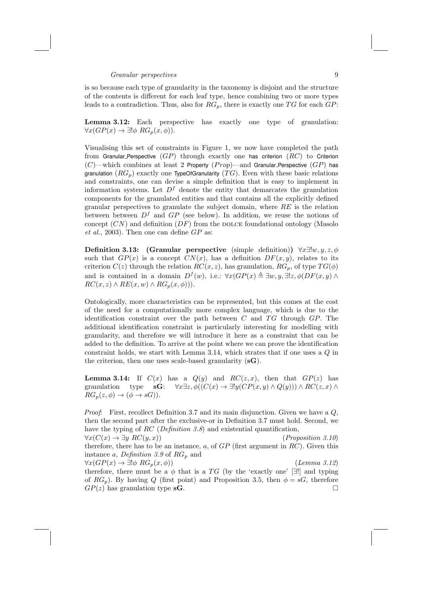is so because each type of granularity in the taxonomy is disjoint and the structure of the contents is different for each leaf type, hence combining two or more types leads to a contradiction. Thus, also for  $RG_p$ , there is exactly one TG for each  $GP$ :

Lemma 3.12: Each perspective has exactly one type of granulation:  $\forall x (GP(x) \rightarrow \exists ! \phi \ RG_p(x, \phi)).$ 

Visualising this set of constraints in Figure 1, we now have completed the path from Granular Perspective  $(GP)$  through exactly one has criterion  $(RC)$  to Criterion  $(C)$ —which combines at least 2 Property  $(Prop)$ —and Granular Perspective  $(GP)$  has granulation  $(RG_p)$  exactly one TypeOfGranularity  $(TG)$ . Even with these basic relations and constraints, one can devise a simple definition that is easy to implement in information systems. Let  $D<sup>f</sup>$  denote the entity that demarcates the granulation components for the granulated entities and that contains all the explicitly defined granular perspectives to granulate the subject domain, where  $RE$  is the relation between between  $D<sup>f</sup>$  and  $GP$  (see below). In addition, we reuse the notions of concept  $(CN)$  and definition  $(DF)$  from the DOLCE foundational ontology (Masolo et al., 2003). Then one can define  $GP$  as:

Definition 3.13: (Granular perspective (simple definition))  $\forall x \exists ! w, y, z, \phi$ such that  $GP(x)$  is a concept  $CN(x)$ , has a definition  $DF(x, y)$ , relates to its criterion  $C(z)$  through the relation  $RC(x, z)$ , has granulation,  $RG_p$ , of type  $TG(\phi)$ and is contained in a domain  $D^f(w)$ , i.e.:  $\forall x (GP(x) \triangleq \exists w, y, \exists ! z, \phi (DF(x, y) \land$  $RC(x, z) \wedge RE(x, w) \wedge RG_p(x, \phi)).$ 

Ontologically, more characteristics can be represented, but this comes at the cost of the need for a computationally more complex language, which is due to the identification constraint over the path between  $C$  and  $TG$  through  $GP$ . The additional identification constraint is particularly interesting for modelling with granularity, and therefore we will introduce it here as a constraint that can be added to the definition. To arrive at the point where we can prove the identification constraint holds, we start with Lemma 3.14, which strates that if one uses a Q in the criterion, then one uses scale-based granularity  $(s\mathbf{G})$ .

**Lemma 3.14:** If  $C(x)$  has a  $Q(y)$  and  $RC(z, x)$ , then that  $GP(z)$  has granulation type  $\mathbf{sG:} \quad \forall x \exists z, \phi((C(x) \rightarrow \exists! y (CP(x, y) \land Q(y))) \land RC(z, x) \land$  $RG_p(z, \phi) \rightarrow (\phi \rightarrow sG)).$ 

Proof: First, recollect Definition 3.7 and its main disjunction. Given we have a Q, then the second part after the exclusive-or in Definition 3.7 must hold. Second, we have the typing of RC (Definition 3.8) and existential quantification,  $\forall x (C(x) \rightarrow \exists y \ RC(y,x))$  (Proposition 3.10)

therefore, there has to be an instance, a, of  $GP$  (first argument in  $RC$ ). Given this instance a, Definition 3.9 of  $RG_n$  and

 $\forall x (GP(x) \rightarrow \exists ! \phi \ RG_p(x, \phi))$  (Lemma 3.12) therefore, there must be a  $\phi$  that is a TG (by the 'exactly one' [ $\exists$ !] and typing of  $RG_n$ ). By having Q (first point) and Proposition 3.5, then  $\phi = sG$ , therefore  $GP(z)$  has granulation type **sG**.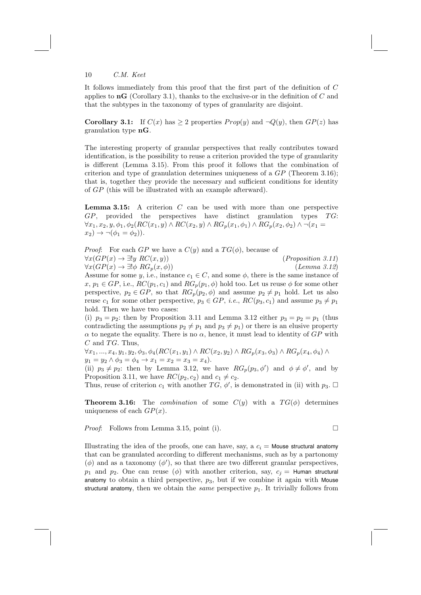It follows immediately from this proof that the first part of the definition of C applies to  $\mathbf{n}$  (Corollary 3.1), thanks to the exclusive-or in the definition of C and that the subtypes in the taxonomy of types of granularity are disjoint.

**Corollary 3.1:** If  $C(x)$  has  $\geq 2$  properties  $Prop(y)$  and  $\neg Q(y)$ , then  $GP(z)$  has granulation type nG.

The interesting property of granular perspectives that really contributes toward identification, is the possibility to reuse a criterion provided the type of granularity is different (Lemma 3.15). From this proof it follows that the combination of criterion and type of granulation determines uniqueness of a GP (Theorem 3.16); that is, together they provide the necessary and sufficient conditions for identity of GP (this will be illustrated with an example afterward).

**Lemma 3.15:** A criterion  $C$  can be used with more than one perspective  $GP$ , provided the perspectives have distinct granulation types  $\forall x_1, x_2, y, \phi_1, \phi_2(RC(x_1, y) \wedge RC(x_2, y) \wedge RG_p(x_1, \phi_1) \wedge RG_p(x_2, \phi_2) \wedge \neg(x_1 =$  $x_2$ )  $\rightarrow \neg (\phi_1 = \phi_2)$ ).

*Proof:* For each GP we have a  $C(y)$  and a  $TG(\phi)$ , because of

 $\forall x (GP(x) \rightarrow \exists! y \ RC(x, y))$  (Proposition 3.11)

 $\forall x (GP(x) \rightarrow \exists ! \phi \ RG_n(x, \phi))$  (Lemma 3.12) Assume for some y, i.e., instance  $c_1 \in C$ , and some  $\phi$ , there is the same instance of  $x, p_1 \in GP$ , i.e.,  $RC(p_1, c_1)$  and  $RG_p(p_1, \phi)$  hold too. Let us reuse  $\phi$  for some other perspective,  $p_2 \in GP$ , so that  $RG_p(p_2, \phi)$  and assume  $p_2 \neq p_1$  hold. Let us also reuse  $c_1$  for some other perspective,  $p_3 \in GP$ , *i.e.*,  $RC(p_3, c_1)$  and assume  $p_3 \neq p_1$ hold. Then we have two cases:

(i)  $p_3 = p_2$ : then by Proposition 3.11 and Lemma 3.12 either  $p_3 = p_2 = p_1$  (thus contradicting the assumptions  $p_2 \neq p_1$  and  $p_3 \neq p_1$ ) or there is an elusive property  $\alpha$  to negate the equality. There is no  $\alpha$ , hence, it must lead to identity of GP with  $C$  and  $TG$ . Thus,

 $\forall x_1, ..., x_4, y_1, y_2, \phi_3, \phi_4(RC(x_1, y_1) \wedge RC(x_2, y_2) \wedge RG_p(x_3, \phi_3) \wedge RG_p(x_4, \phi_4) \wedge$  $y_1 = y_2 \wedge \phi_3 = \phi_4 \rightarrow x_1 = x_2 = x_3 = x_4$ .

(ii)  $p_3 \neq p_2$ : then by Lemma 3.12, we have  $RG_p(p_3, \phi')$  and  $\phi \neq \phi'$ , and by Proposition 3.11, we have  $RC(p_2, c_2)$  and  $c_1 \neq c_2$ .

Thus, reuse of criterion  $c_1$  with another  $TG$ ,  $\phi'$ , is demonstrated in (ii) with  $p_3$ .

**Theorem 3.16:** The *combination* of some  $C(y)$  with a  $TG(\phi)$  determines uniqueness of each  $GP(x)$ .

*Proof*: Follows from Lemma 3.15, point (i).  $\square$ 

Illustrating the idea of the proofs, one can have, say, a  $c_i =$  Mouse structural anatomy that can be granulated according to different mechanisms, such as by a partonomy  $(\phi)$  and as a taxonomy  $(\phi')$ , so that there are two different granular perspectives,  $p_1$  and  $p_2$ . One can reuse  $(\phi)$  with another criterion, say,  $c_i =$  Human structural anatomy to obtain a third perspective,  $p_3$ , but if we combine it again with Mouse structural anatomy, then we obtain the same perspective  $p_1$ . It trivially follows from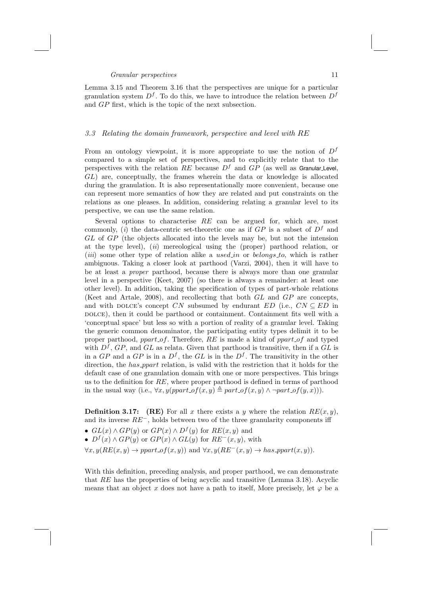Lemma 3.15 and Theorem 3.16 that the perspectives are unique for a particular granulation system  $D<sup>f</sup>$ . To do this, we have to introduce the relation between  $D<sup>f</sup>$ and GP first, which is the topic of the next subsection.

## 3.3 Relating the domain framework, perspective and level with RE

From an ontology viewpoint, it is more appropriate to use the notion of  $D^f$ compared to a simple set of perspectives, and to explicitly relate that to the perspectives with the relation RE because  $D<sup>f</sup>$  and GP (as well as Granular Level, GL) are, conceptually, the frames wherein the data or knowledge is allocated during the granulation. It is also representationally more convenient, because one can represent more semantics of how they are related and put constraints on the relations as one pleases. In addition, considering relating a granular level to its perspective, we can use the same relation.

Several options to characterise  $RE$  can be argued for, which are, most commonly, (i) the data-centric set-theoretic one as if  $GP$  is a subset of  $D<sup>f</sup>$  and GL of GP (the objects allocated into the levels may be, but not the intension at the type level),  $(ii)$  mereological using the (proper) parthood relation, or (iii) some other type of relation alike a  $used_in$  or  $belongs_to$ , which is rather ambiguous. Taking a closer look at parthood (Varzi, 2004), then it will have to be at least a proper parthood, because there is always more than one granular level in a perspective (Keet, 2007) (so there is always a remainder: at least one other level). In addition, taking the specification of types of part-whole relations (Keet and Artale, 2008), and recollecting that both GL and GP are concepts, and with DOLCE's concept CN subsumed by endurant  $ED$  (i.e.,  $CN \subseteq ED$  in dolce), then it could be parthood or containment. Containment fits well with a 'conceptual space' but less so with a portion of reality of a granular level. Taking the generic common denominator, the participating entity types delimit it to be proper parthood, ppart of. Therefore, RE is made a kind of ppart of and typed with  $D<sup>f</sup>$ ,  $GP$ , and  $GL$  as relata. Given that parthood is transitive, then if a  $GL$  is in a  $GP$  and a  $GP$  is in a  $D<sup>f</sup>$ , the  $GL$  is in the  $D<sup>f</sup>$ . The transitivity in the other direction, the *has ppart* relation, is valid with the restriction that it holds for the default case of one granulation domain with one or more perspectives. This brings us to the definition for  $RE$ , where proper parthood is defined in terms of parthood in the usual way (i.e.,  $\forall x, y(ppart\_of(x, y) \triangleq part\_of(x, y) \land \neg part\_of(y, x))$ ).

**Definition 3.17:** (RE) For all x there exists a y where the relation  $RE(x, y)$ , and its inverse RE<sup>−</sup>, holds between two of the three granularity components iff

- $GL(x) \wedge GP(y)$  or  $GP(x) \wedge D^f(y)$  for  $RE(x, y)$  and
- $D^f(x) \wedge GP(y)$  or  $GP(x) \wedge GL(y)$  for  $RE^-(x, y)$ , with
- $\forall x, y(RE(x, y) \rightarrow ppart\_of(x, y))$  and  $\forall x, y(RE^-(x, y) \rightarrow has\_ppart(x, y)).$

With this definition, preceding analysis, and proper parthood, we can demonstrate that RE has the properties of being acyclic and transitive (Lemma 3.18). Acyclic means that an object x does not have a path to itself, More precisely, let  $\varphi$  be a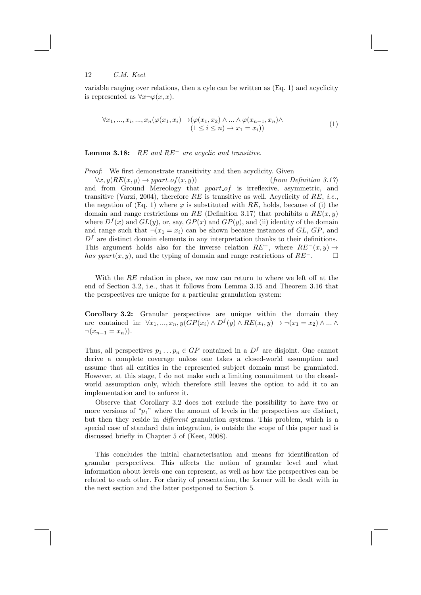variable ranging over relations, then a cyle can be written as (Eq. 1) and acyclicity is represented as  $\forall x \neg \varphi(x, x)$ .

$$
\forall x_1, ..., x_i, ..., x_n (\varphi(x_1, x_i) \rightarrow (\varphi(x_1, x_2) \land ... \land \varphi(x_{n-1}, x_n) \land (1 \le i \le n) \rightarrow x_1 = x_i))
$$
\n(1)

**Lemma 3.18:**  $RE$  and  $RE^-$  are acyclic and transitive.

Proof: We first demonstrate transitivity and then acyclicity. Given

 $\forall x, y(RE(x, y) \rightarrow part\_of(x, y))$  (from Definition 3.17) and from Ground Mereology that *ppart of* is irreflexive, asymmetric, and transitive (Varzi, 2004), therefore  $RE$  is transitive as well. Acyclicity of  $RE$ , *i.e.*, the negation of (Eq. 1) where  $\varphi$  is substituted with RE, holds, because of (i) the domain and range restrictions on RE (Definition 3.17) that prohibits a  $RE(x, y)$ where  $D^{f}(x)$  and  $GL(y)$ , or, say,  $GP(x)$  and  $GP(y)$ , and (ii) identity of the domain and range such that  $\neg(x_1 = x_i)$  can be shown because instances of GL, GP, and  $D<sup>f</sup>$  are distinct domain elements in any interpretation thanks to their definitions. This argument holds also for the inverse relation  $RE^-$ , where  $RE^-(x, y) \rightarrow$ has ppart $(x, y)$ , and the typing of domain and range restrictions of RE<sup>−</sup>.

With the  $RE$  relation in place, we now can return to where we left off at the end of Section 3.2, i.e., that it follows from Lemma 3.15 and Theorem 3.16 that the perspectives are unique for a particular granulation system:

Corollary 3.2: Granular perspectives are unique within the domain they are contained in:  $\forall x_1, ..., x_n, y(GP(x_i) \wedge D^f(y) \wedge RE(x_i, y) \rightarrow \neg(x_1 = x_2) \wedge ... \wedge$  $\neg(x_{n-1} = x_n)).$ 

Thus, all perspectives  $p_1 \nldots p_n \in GP$  contained in a  $D^f$  are disjoint. One cannot derive a complete coverage unless one takes a closed-world assumption and assume that all entities in the represented subject domain must be granulated. However, at this stage, I do not make such a limiting commitment to the closedworld assumption only, which therefore still leaves the option to add it to an implementation and to enforce it.

Observe that Corollary 3.2 does not exclude the possibility to have two or more versions of " $p_1$ " where the amount of levels in the perspectives are distinct, but then they reside in different granulation systems. This problem, which is a special case of standard data integration, is outside the scope of this paper and is discussed briefly in Chapter 5 of (Keet, 2008).

This concludes the initial characterisation and means for identification of granular perspectives. This affects the notion of granular level and what information about levels one can represent, as well as how the perspectives can be related to each other. For clarity of presentation, the former will be dealt with in the next section and the latter postponed to Section 5.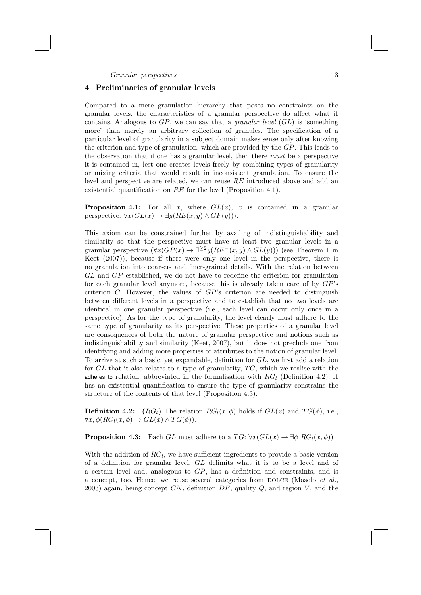# 4 Preliminaries of granular levels

Compared to a mere granulation hierarchy that poses no constraints on the granular levels, the characteristics of a granular perspective do affect what it contains. Analogous to  $GP$ , we can say that a *granular level*  $(GL)$  is 'something more' than merely an arbitrary collection of granules. The specification of a particular level of granularity in a subject domain makes sense only after knowing the criterion and type of granulation, which are provided by the GP. This leads to the observation that if one has a granular level, then there must be a perspective it is contained in, lest one creates levels freely by combining types of granularity or mixing criteria that would result in inconsistent granulation. To ensure the level and perspective are related, we can reuse RE introduced above and add an existential quantification on RE for the level (Proposition 4.1).

**Proposition 4.1:** For all x, where  $GL(x)$ , x is contained in a granular perspective:  $\forall x (GL(x) \rightarrow \exists y (RE(x, y) \land GP(y))).$ 

This axiom can be constrained further by availing of indistinguishability and similarity so that the perspective must have at least two granular levels in a granular perspective  $(\forall x(GP(x) \rightarrow \exists^{\geq 2} y(RE^{-}(x, y) \wedge GL(y)))$  (see Theorem 1 in Keet (2007)), because if there were only one level in the perspective, there is no granulation into coarser- and finer-grained details. With the relation between GL and GP established, we do not have to redefine the criterion for granulation for each granular level anymore, because this is already taken care of by  $GP$ 's criterion  $C$ . However, the values of  $GP$ 's criterion are needed to distinguish between different levels in a perspective and to establish that no two levels are identical in one granular perspective (i.e., each level can occur only once in a perspective). As for the type of granularity, the level clearly must adhere to the same type of granularity as its perspective. These properties of a granular level are consequences of both the nature of granular perspective and notions such as indistinguishability and similarity (Keet, 2007), but it does not preclude one from identifying and adding more properties or attributes to the notion of granular level. To arrive at such a basic, yet expandable, definition for GL, we first add a relation for  $GL$  that it also relates to a type of granularity,  $TG$ , which we realise with the adheres to relation, abbreviated in the formalisation with  $RG<sub>l</sub>$  (Definition 4.2). It has an existential quantification to ensure the type of granularity constrains the structure of the contents of that level (Proposition 4.3).

**Definition 4.2:**  $(RG_l)$  The relation  $RG_l(x, \phi)$  holds if  $GL(x)$  and  $TG(\phi)$ , i.e.,  $\forall x, \phi(RG_l(x, \phi) \rightarrow GL(x) \land TG(\phi)).$ 

**Proposition 4.3:** Each GL must adhere to a  $TG: \forall x (GL(x) \rightarrow \exists \phi \ RG_1(x, \phi)).$ 

With the addition of  $RG<sub>l</sub>$ , we have sufficient ingredients to provide a basic version of a definition for granular level. GL delimits what it is to be a level and of a certain level and, analogous to GP, has a definition and constraints, and is a concept, too. Hence, we reuse several categories from  $DOLCE$  (Masolo  $et$  al., 2003) again, being concept CN, definition  $DF$ , quality Q, and region V, and the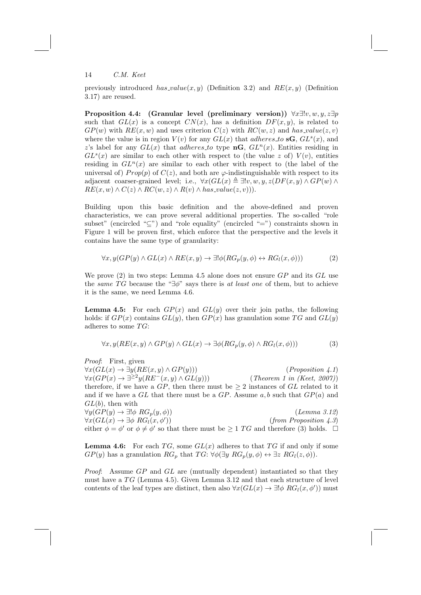previously introduced  $has_value(x, y)$  (Definition 3.2) and  $RE(x, y)$  (Definition 3.17) are reused.

Proposition 4.4: (Granular level (preliminary version))  $\forall x \exists! v, w, y, z \exists p$ such that  $GL(x)$  is a concept  $CN(x)$ , has a definition  $DF(x, y)$ , is related to  $GP(w)$  with  $RE(x, w)$  and uses criterion  $C(z)$  with  $RC(w, z)$  and has value $(z, v)$ where the value is in region  $V(v)$  for any  $GL(x)$  that *adheres to*  $\mathbf{s}\mathbf{G}, GL^s(x)$ , and z's label for any  $GL(x)$  that *adheres to* type **nG**,  $GL^{n}(x)$ . Entities residing in  $GL<sup>s</sup>(x)$  are similar to each other with respect to (the value z of)  $V(v)$ , entities residing in  $GL<sup>n</sup>(x)$  are similar to each other with respect to (the label of the universal of)  $Prop(p)$  of  $C(z)$ , and both are  $\varphi$ -indistinguishable with respect to its adjacent coarser-grained level; i.e.,  $\forall x(GL(x) \triangleq \exists! v, w, y, z(DF(x, y) \wedge GP(w) \wedge P(w))$  $RE(x, w) \wedge C(z) \wedge RC(w, z) \wedge R(v) \wedge has\_value(z, v)).$ 

Building upon this basic definition and the above-defined and proven characteristics, we can prove several additional properties. The so-called "role subset" (encircled " $\subset$ ") and "role equality" (encircled " $=$ ") constraints shown in Figure 1 will be proven first, which enforce that the perspective and the levels it contains have the same type of granularity:

$$
\forall x, y (GP(y) \land GL(x) \land RE(x, y) \rightarrow \exists! \phi (RG_p(y, \phi) \leftrightarrow RG_l(x, \phi)))
$$
\n(2)

We prove (2) in two steps: Lemma 4.5 alone does not ensure  $GP$  and its  $GL$  use the same TG because the " $\exists \phi$ " says there is at least one of them, but to achieve it is the same, we need Lemma 4.6.

**Lemma 4.5:** For each  $GP(x)$  and  $GL(y)$  over their join paths, the following holds: if  $GP(x)$  contains  $GL(y)$ , then  $GP(x)$  has granulation some TG and  $GL(y)$ adheres to some  $TG$ :

$$
\forall x, y (RE(x, y) \land GP(y) \land GL(x) \to \exists \phi (RG_p(y, \phi) \land RG_l(x, \phi)))
$$
\n(3)

Proof: First, given  $\forall x(GL(x) \rightarrow \exists y(RE(x, y) \land GP(y)))$  (Proposition 4.1)  $\forall x (GP(x) \rightarrow \exists^{\geq 2} y (RE^{-}(x, y) \wedge GL(y)))$  (Theorem 1 in (Keet, 2007)) therefore, if we have a  $GP$ , then there must be  $\geq 2$  instances of  $GL$  related to it and if we have a  $GL$  that there must be a  $GP$ . Assume a, b such that  $GP(a)$  and  $GL(b)$ , then with  $\forall y (GP(y) \rightarrow \exists ! \phi \ RG_p(y, \phi))$  (Lemma 3.12)

 $\forall x(GL(x) \rightarrow \exists \phi \ RG_l(x, \phi'))$ (from Proposition  $(4.3)$ ) either  $\phi = \phi'$  or  $\phi \neq \phi'$  so that there must be  $\geq 1$  TG and therefore (3) holds.  $\square$ 

**Lemma 4.6:** For each  $TG$ , some  $GL(x)$  adheres to that  $TG$  if and only if some  $GP(y)$  has a granulation  $RG_p$  that  $TG: \forall \phi(\exists y \ RG_p(y, \phi) \leftrightarrow \exists z \ RG_l(z, \phi)).$ 

Proof: Assume GP and GL are (mutually dependent) instantiated so that they must have a  $TG$  (Lemma 4.5). Given Lemma 3.12 and that each structure of level contents of the leaf types are distinct, then also  $\forall x(GL(x) \rightarrow \exists ! \phi \ RG_l(x, \phi'))$  must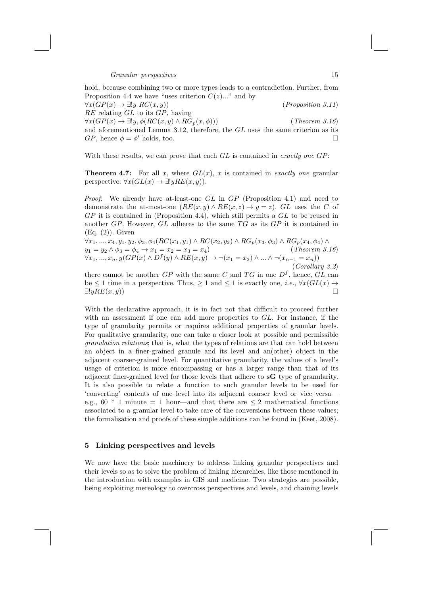hold, because combining two or more types leads to a contradiction. Further, from Proposition 4.4 we have "uses criterion  $C(z)$ ..." and by

 $\forall x (GP(x) \rightarrow \exists! y \ RC(x, y))$  (Proposition 3.11) RE relating GL to its GP, having  $\forall x (GP(x) \rightarrow \exists! y, \phi(RC(x, y) \land RG_p(x, \phi)))$  (Theorem 3.16) and aforementioned Lemma 3.12, therefore, the GL uses the same criterion as its  $GP$ , hence  $\phi = \phi'$  holds, too.

With these results, we can prove that each  $GL$  is contained in *exactly one GP*:

**Theorem 4.7:** For all x, where  $GL(x)$ , x is contained in exactly one granular perspective:  $\forall x (GL(x) \rightarrow \exists! y RE(x,y)).$ 

*Proof:* We already have at-least-one  $GL$  in  $GP$  (Proposition 4.1) and need to demonstrate the at-most-one  $(RE(x, y) \wedge RE(x, z) \rightarrow y = z)$ . GL uses the C of GP it is contained in (Proposition 4.4), which still permits a GL to be reused in another GP. However, GL adheres to the same  $TG$  as its GP it is contained in (Eq. (2)). Given

 $\forall x_1, ..., x_4, y_1, y_2, \phi_3, \phi_4(RC(x_1, y_1) \land RC(x_2, y_2) \land RG_p(x_3, \phi_3) \land RG_p(x_4, \phi_4) \land$  $y_1 = y_2 \wedge \phi_3 = \phi_4 \rightarrow x_1 = x_2 = x_3 = x_4$  (Theorem 3.16)  $\forall x_1, ..., x_n, y (GP(x) \wedge D^f(y) \wedge RE(x, y) \rightarrow \neg(x_1 = x_2) \wedge ... \wedge \neg(x_{n-1} = x_n))$ (Corollary 3.2)

there cannot be another  $GP$  with the same C and TG in one  $D<sup>f</sup>$ , hence, GL can be  $\leq 1$  time in a perspective. Thus,  $\geq 1$  and  $\leq 1$  is exactly one, *i.e.*,  $\forall x(GL(x) \rightarrow$  $\exists! yRE(x, y)$ 

With the declarative approach, it is in fact not that difficult to proceed further with an assessment if one can add more properties to GL. For instance, if the type of granularity permits or requires additional properties of granular levels. For qualitative granularity, one can take a closer look at possible and permissible granulation relations; that is, what the types of relations are that can hold between an object in a finer-grained granule and its level and an(other) object in the adjacent coarser-grained level. For quantitative granularity, the values of a level's usage of criterion is more encompassing or has a larger range than that of its adjacent finer-grained level for those levels that adhere to sG type of granularity. It is also possible to relate a function to such granular levels to be used for 'converting' contents of one level into its adjacent coarser level or vice versa e.g., 60  $*$  1 minute = 1 hour—and that there are  $\leq$  2 mathematical functions associated to a granular level to take care of the conversions between these values; the formalisation and proofs of these simple additions can be found in (Keet, 2008).

# 5 Linking perspectives and levels

We now have the basic machinery to address linking granular perspectives and their levels so as to solve the problem of linking hierarchies, like those mentioned in the introduction with examples in GIS and medicine. Two strategies are possible, being exploiting mereology to overcross perspectives and levels, and chaining levels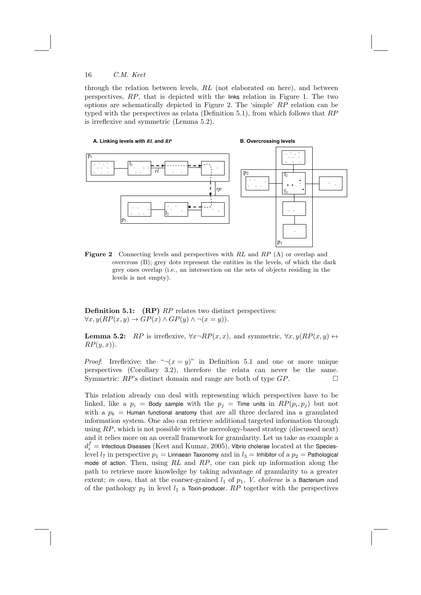through the relation between levels, RL (not elaborated on here), and between perspectives, RP, that is depicted with the links relation in Figure 1. The two options are schematically depicted in Figure 2. The 'simple' RP relation can be typed with the perspectives as relata (Definition 5.1), from which follows that RP is irreflexive and symmetric (Lemma 5.2).



Figure 2 Connecting levels and perspectives with RL and RP (A) or overlap and overcross (B); grey dots represent the entities in the levels, of which the dark grey ones overlap (i.e., an intersection on the sets of objects residing in the levels is not empty).

**Definition 5.1:** (RP) RP relates two distinct perspectives:  $\forall x, y(RP(x, y) \rightarrow GP(x) \land GP(y) \land \neg(x = y)).$ 

**Lemma 5.2:** RP is irreflexive,  $\forall x \neg RP(x,x)$ , and symmetric,  $\forall x, y(RP(x,y) \leftrightarrow$  $RP(y, x)$ .

*Proof:* Irreflexive: the " $\neg(x = y)$ " in Definition 5.1 and one or more unique perspectives (Corollary 3.2), therefore the relata can never be the same. Symmetric:  $RP$ 's distinct domain and range are both of type  $GP$ .

This relation already can deal with representing which perspectives have to be linked, like a  $p_i$  = Body sample with the  $p_j$  = Time units in  $RP(p_i,p_j)$  but not with a  $p_k$  = Human functional anatomy that are all three declared ina a granulated information system. One also can retrieve additional targeted information through using  $RP$ , which is not possible with the mereology-based strategy (discussed next) and it relies more on an overall framework for granularity. Let us take as example a  $d_i^f=$  Infectious Diseases (Keet and Kumar, 2005), Vibrio cholerae  $\rm located~at~the~Species$ level  $l_7$  in perspective  $p_1 =$  Linnaean Taxonomy and in  $l_3 =$  Inhibitor of a  $p_2 =$  Pathological mode of action. Then, using  $RL$  and  $RP$ , one can pick up information along the path to retrieve more knowledge by taking advantage of granularity to a greater extent; in casu, that at the coarser-grained  $l_1$  of  $p_1$ , V. cholerae is a Bacterium and of the pathology  $p_2$  in level  $l_1$  a Toxin-producer.  $RP$  together with the perspectives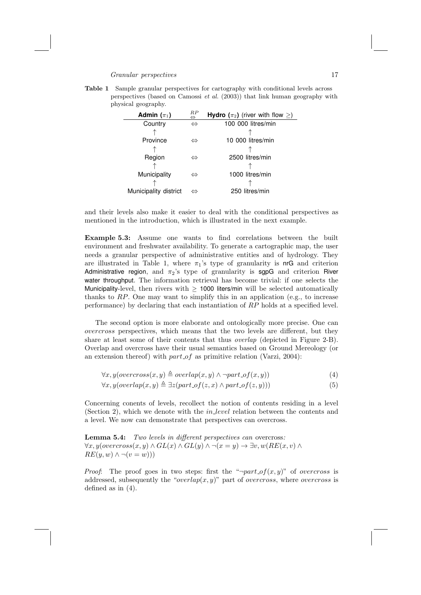Table 1 Sample granular perspectives for cartography with conditional levels across perspectives (based on Camossi et al. (2003)) that link human geography with physical geography.

| Admin $(\pi_1)$       | $_{RP}$<br>$\Leftrightarrow$ | <b>Hydro</b> ( $\pi_2$ ) (river with flow $\geq$ ) |
|-----------------------|------------------------------|----------------------------------------------------|
| Country               | $\Leftrightarrow$            | 100 000 litres/min                                 |
|                       |                              |                                                    |
| Province              | ⇔                            | 10 000 litres/min                                  |
|                       |                              |                                                    |
| Region                | $\Leftrightarrow$            | 2500 litres/min                                    |
|                       |                              |                                                    |
| Municipality          | $\Leftrightarrow$            | 1000 litres/min                                    |
|                       |                              |                                                    |
| Municipality district | $\Leftrightarrow$            | 250 litres/min                                     |

and their levels also make it easier to deal with the conditional perspectives as mentioned in the introduction, which is illustrated in the next example.

Example 5.3: Assume one wants to find correlations between the built environment and freshwater availability. To generate a cartographic map, the user needs a granular perspective of administrative entities and of hydrology. They are illustrated in Table 1, where  $\pi_1$ 's type of granularity is nrG and criterion Administrative region, and  $\pi_2$ 's type of granularity is sgpG and criterion River water throughput. The information retrieval has become trivial: if one selects the Municipality-level, then rivers with  $\geq$  1000 liters/min will be selected automatically thanks to  $RP$ . One may want to simplify this in an application (e.g., to increase performance) by declaring that each instantiation of RP holds at a specified level.

The second option is more elaborate and ontologically more precise. One can overcross perspectives, which means that the two levels are different, but they share at least some of their contents that thus overlap (depicted in Figure 2-B). Overlap and overcross have their usual semantics based on Ground Mereology (or an extension thereof) with  $part\_of$  as primitive relation (Varzi, 2004):

$$
\forall x, y (overcross(x, y) \triangleq overlap(x, y) \land \neg part \, of(x, y))
$$
\n
$$
(4)
$$

$$
\forall x, y (overlap(x, y) \triangleq \exists z (part\_of(z, x) \land part\_of(z, y)))
$$
\n(5)

Concerning conents of levels, recollect the notion of contents residing in a level (Section 2), which we denote with the *in level* relation between the contents and a level. We now can demonstrate that perspectives can overcross.

Lemma 5.4: Two levels in different perspectives can overcross:  $\forall x, y (overcross(x, y) \land GL(x) \land GL(y) \land \neg(x = y) \rightarrow \exists v, w (RE(x, v) \land$  $RE(y, w) \wedge \neg (v = w))$ 

*Proof*: The proof goes in two steps: first the " $-part_of(x, y)$ " of *overcross* is addressed, subsequently the "overlap(x, y)" part of overcross, where overcross is defined as in (4).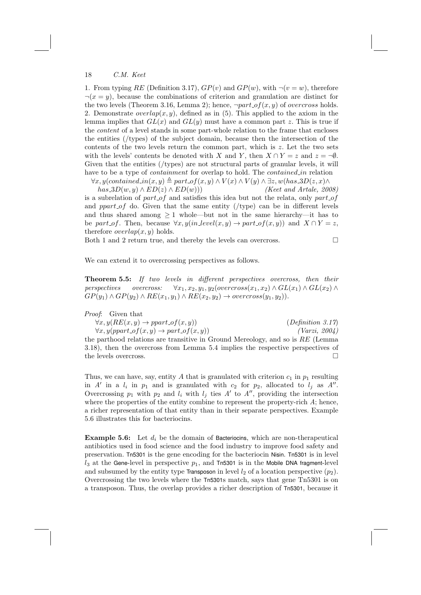1. From typing RE (Definition 3.17),  $GP(v)$  and  $GP(w)$ , with  $\neg (v = w)$ , therefore  $\neg(x = y)$ , because the combinations of criterion and granulation are distinct for the two levels (Theorem 3.16, Lemma 2); hence,  $\neg part_{of}(x, y)$  of *overcross* holds. 2. Demonstrate  $overlap(x, y)$ , defined as in (5). This applied to the axiom in the lemma implies that  $GL(x)$  and  $GL(y)$  must have a common part z. This is true if the content of a level stands in some part-whole relation to the frame that encloses the entities (/types) of the subject domain, because then the intersection of the contents of the two levels return the common part, which is  $z$ . Let the two sets with the levels' contents be denoted with X and Y, then  $X \cap Y = z$  and  $z = \neg \emptyset$ . Given that the entities (/types) are not structural parts of granular levels, it will have to be a type of *containment* for overlap to hold. The *contained in* relation

 $\forall x, y (contained.in(x, y) \triangleq part_of(x, y) \land V(x) \land V(y) \land \exists z, w (has .3D(z, x) \land$  $has.3D(w, y) \wedge ED(z) \wedge ED(w))$  (Keet and Artale, 2008) is a subrelation of part of and satisfies this idea but not the relata, only part of and ppart of do. Given that the same entity (/type) can be in different levels and thus shared among  $\geq 1$  whole—but not in the same hierarchy—it has to be part of. Then, because  $\forall x, y(in\_level(x, y) \rightarrow part\_of(x, y))$  and  $X \cap Y = z$ , therefore  $overlap(x, y)$  holds.

Both 1 and 2 return true, and thereby the levels can overcross.

We can extend it to overcrossing perspectives as follows.

Theorem 5.5: If two levels in different perspectives overcross, then their perspectives overcross:  $\forall x_1, x_2, y_1, y_2$ (overcross(x<sub>1</sub>, x<sub>2</sub>) ∧ GL(x<sub>1</sub>) ∧ GL(x<sub>2</sub>) ∧  $GP(y_1) \wedge GP(y_2) \wedge RE(x_1, y_1) \wedge RE(x_2, y_2) \rightarrow overcross(y_1, y_2)).$ 

## Proof: Given that

 $\forall x, y(RE(x, y) \rightarrow part\_of(x, y))$  (Definition 3.17)  $\forall x, y(ppart_of(x, y) \rightarrow part_of(x, y))$  (Varzi, 2004) the parthood relations are transitive in Ground Mereology, and so is RE (Lemma 3.18), then the overcross from Lemma 5.4 implies the respective perspectives of the levels overcross.

Thus, we can have, say, entity A that is granulated with criterion  $c_1$  in  $p_1$  resulting in A' in a  $l_i$  in  $p_1$  and is granulated with  $c_2$  for  $p_2$ , allocated to  $l_j$  as A''. Overcrossing  $p_1$  with  $p_2$  and  $l_i$  with  $l_j$  ties  $A'$  to  $A''$ , providing the intersection where the properties of the entity combine to represent the property-rich  $A$ ; hence, a richer representation of that entity than in their separate perspectives. Example 5.6 illustrates this for bacteriocins.

**Example 5.6:** Let  $d_i$  be the domain of Bacteriocins, which are non-therapeutical antibiotics used in food science and the food industry to improve food safety and preservation. Tn5301 is the gene encoding for the bacteriocin Nisin. Tn5301 is in level  $l_3$  at the Gene-level in perspective  $p_1$ , and Tn5301 is in the Mobile DNA fragment-level and subsumed by the entity type Transposon in level  $l_2$  of a location perspective  $(p_2)$ . Overcrossing the two levels where the Tn5301s match, says that gene Tn5301 is on a transposon. Thus, the overlap provides a richer description of Tn5301, because it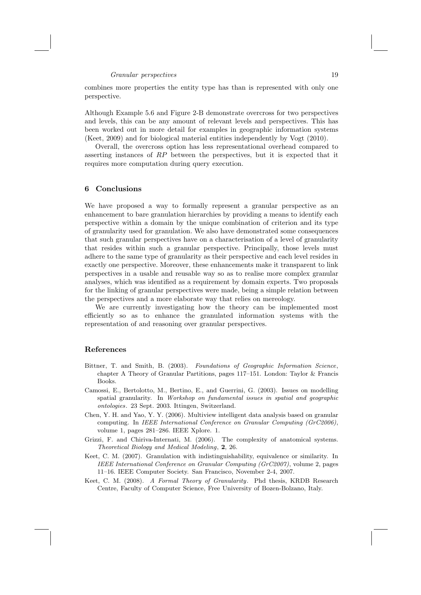combines more properties the entity type has than is represented with only one perspective.

Although Example 5.6 and Figure 2-B demonstrate overcross for two perspectives and levels, this can be any amount of relevant levels and perspectives. This has been worked out in more detail for examples in geographic information systems (Keet, 2009) and for biological material entities independently by Vogt (2010).

Overall, the overcross option has less representational overhead compared to asserting instances of RP between the perspectives, but it is expected that it requires more computation during query execution.

# 6 Conclusions

We have proposed a way to formally represent a granular perspective as an enhancement to bare granulation hierarchies by providing a means to identify each perspective within a domain by the unique combination of criterion and its type of granularity used for granulation. We also have demonstrated some consequences that such granular perspectives have on a characterisation of a level of granularity that resides within such a granular perspective. Principally, those levels must adhere to the same type of granularity as their perspective and each level resides in exactly one perspective. Moreover, these enhancements make it transparent to link perspectives in a usable and reusable way so as to realise more complex granular analyses, which was identified as a requirement by domain experts. Two proposals for the linking of granular perspectives were made, being a simple relation between the perspectives and a more elaborate way that relies on mereology.

We are currently investigating how the theory can be implemented most efficiently so as to enhance the granulated information systems with the representation of and reasoning over granular perspectives.

## References

- Bittner, T. and Smith, B. (2003). Foundations of Geographic Information Science, chapter A Theory of Granular Partitions, pages 117–151. London: Taylor & Francis Books.
- Camossi, E., Bertolotto, M., Bertino, E., and Guerrini, G. (2003). Issues on modelling spatial granularity. In Workshop on fundamental issues in spatial and geographic ontologies. 23 Sept. 2003. Ittingen, Switzerland.
- Chen, Y. H. and Yao, Y. Y. (2006). Multiview intelligent data analysis based on granular computing. In IEEE International Conference on Granular Computing (GrC2006), volume 1, pages 281–286. IEEE Xplore. 1.
- Grizzi, F. and Chiriva-Internati, M. (2006). The complexity of anatomical systems. Theoretical Biology and Medical Modeling, 2, 26.
- Keet, C. M. (2007). Granulation with indistinguishability, equivalence or similarity. In IEEE International Conference on Granular Computing (GrC2007), volume 2, pages 11–16. IEEE Computer Society. San Francisco, November 2-4, 2007.
- Keet, C. M. (2008). A Formal Theory of Granularity. Phd thesis, KRDB Research Centre, Faculty of Computer Science, Free University of Bozen-Bolzano, Italy.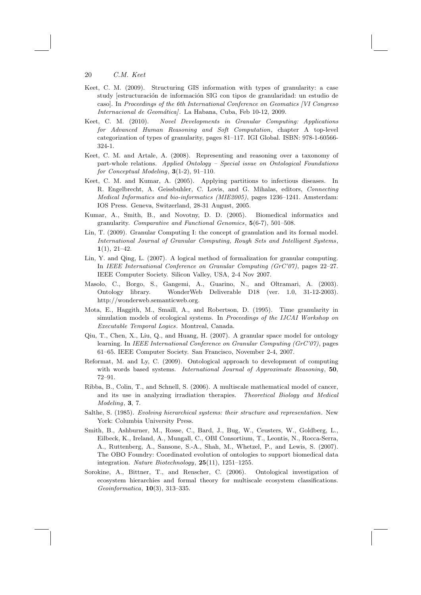- Keet, C. M. (2009). Structuring GIS information with types of granularity: a case study [estructuración de información SIG con tipos de granularidad: un estudio de caso]. In Proceedings of the 6th International Conference on Geomatics [VI Congreso Internacional de Geomática]. La Habana, Cuba, Feb 10-12, 2009.
- Keet, C. M. (2010). Novel Developments in Granular Computing: Applications for Advanced Human Reasoning and Soft Computation, chapter A top-level categorization of types of granularity, pages 81–117. IGI Global. ISBN: 978-1-60566- 324-1.
- Keet, C. M. and Artale, A. (2008). Representing and reasoning over a taxonomy of part-whole relations. Applied Ontology – Special issue on Ontological Foundations for Conceptual Modeling,  $3(1-2)$ ,  $91-110$ .
- Keet, C. M. and Kumar, A. (2005). Applying partitions to infectious diseases. In R. Engelbrecht, A. Geissbuhler, C. Lovis, and G. Mihalas, editors, Connecting Medical Informatics and bio-informatics (MIE2005), pages 1236–1241. Amsterdam: IOS Press. Geneva, Switzerland, 28-31 August, 2005.
- Kumar, A., Smith, B., and Novotny, D. D. (2005). Biomedical informatics and granularity. Comparative and Functional Genomics, 5(6-7), 501–508.
- Lin, T. (2009). Granular Computing I: the concept of granulation and its formal model. International Journal of Granular Computing, Rough Sets and Intelligent Systems ,  $1(1), 21-42.$
- Lin, Y. and Qing, L. (2007). A logical method of formalization for granular computing. In IEEE International Conference on Granular Computing (GrC'07), pages 22–27. IEEE Computer Society. Silicon Valley, USA, 2-4 Nov 2007.
- Masolo, C., Borgo, S., Gangemi, A., Guarino, N., and Oltramari, A. (2003). Ontology library. WonderWeb Deliverable D18 (ver. 1.0, 31-12-2003). http://wonderweb.semanticweb.org.
- Mota, E., Haggith, M., Smaill, A., and Robertson, D. (1995). Time granularity in simulation models of ecological systems. In Proceedings of the IJCAI Workshop on Executable Temporal Logics. Montreal, Canada.
- Qiu, T., Chen, X., Liu, Q., and Huang, H. (2007). A granular space model for ontology learning. In IEEE International Conference on Granular Computing (GrC'07), pages 61–65. IEEE Computer Society. San Francisco, November 2-4, 2007.
- Reformat, M. and Ly, C. (2009). Ontological approach to development of computing with words based systems. International Journal of Approximate Reasoning, 50, 72–91.
- Ribba, B., Colin, T., and Schnell, S. (2006). A multiscale mathematical model of cancer, and its use in analyzing irradiation therapies. Theoretical Biology and Medical Modeling, 3, 7.
- Salthe, S. (1985). Evolving hierarchical systems: their structure and representation. New York: Columbia University Press.
- Smith, B., Ashburner, M., Rosse, C., Bard, J., Bug, W., Ceusters, W., Goldberg, L., Eilbeck, K., Ireland, A., Mungall, C., OBI Consortium, T., Leontis, N., Rocca-Serra, A., Ruttenberg, A., Sansone, S.-A., Shah, M., Whetzel, P., and Lewis, S. (2007). The OBO Foundry: Coordinated evolution of ontologies to support biomedical data integration. Nature Biotechnology, 25(11), 1251–1255.
- Sorokine, A., Bittner, T., and Renscher, C. (2006). Ontological investigation of ecosystem hierarchies and formal theory for multiscale ecosystem classifications. Geoinformatica, 10(3), 313–335.